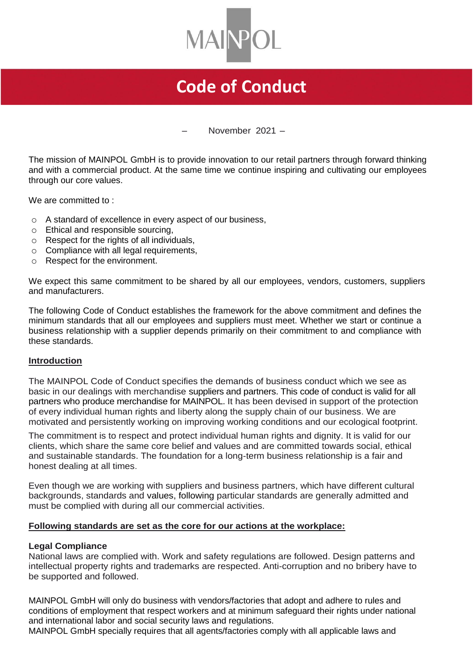

# **Code of Conduct**

– November 2021 –

The mission of MAINPOL GmbH is to provide innovation to our retail partners through forward thinking and with a commercial product. At the same time we continue inspiring and cultivating our employees through our core values.

We are committed to :

- o A standard of excellence in every aspect of our business,
- o Ethical and responsible sourcing,
- o Respect for the rights of all individuals,
- o Compliance with all legal requirements,
- o Respect for the environment.

We expect this same commitment to be shared by all our employees, vendors, customers, suppliers and manufacturers.

The following Code of Conduct establishes the framework for the above commitment and defines the minimum standards that all our employees and suppliers must meet. Whether we start or continue a business relationship with a supplier depends primarily on their commitment to and compliance with these standards.

# **Introduction**

The MAINPOL Code of Conduct specifies the demands of business conduct which we see as basic in our dealings with merchandise suppliers and partners. This code of conduct is valid for all partners who produce merchandise for MAINPOL. It has been devised in support of the protection of every individual human rights and liberty along the supply chain of our business. We are motivated and persistently working on improving working conditions and our ecological footprint.

The commitment is to respect and protect individual human rights and dignity. It is valid for our clients, which share the same core belief and values and are committed towards social, ethical and sustainable standards. The foundation for a long-term business relationship is a fair and honest dealing at all times.

Even though we are working with suppliers and business partners, which have different cultural backgrounds, standards and values, following particular standards are generally admitted and must be complied with during all our commercial activities.

# **Following standards are set as the core for our actions at the workplace:**

#### **Legal Compliance**

National laws are complied with. Work and safety regulations are followed. Design patterns and intellectual property rights and trademarks are respected. Anti-corruption and no bribery have to be supported and followed.

MAINPOL GmbH will only do business with vendors/factories that adopt and adhere to rules and conditions of employment that respect workers and at minimum safeguard their rights under national and international labor and social security laws and regulations.

MAINPOL GmbH specially requires that all agents/factories comply with all applicable laws and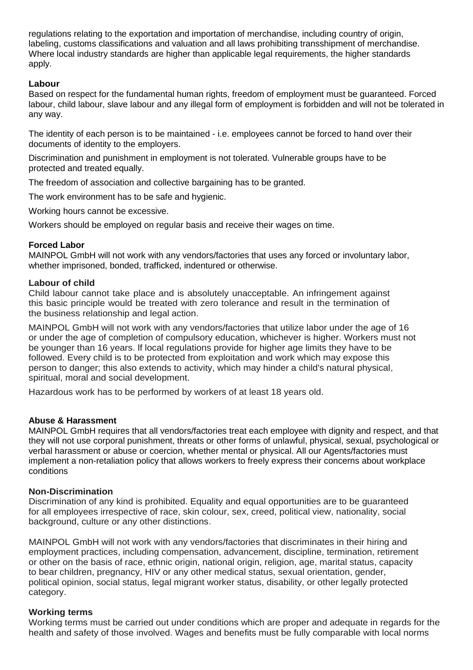regulations relating to the exportation and importation of merchandise, including country of origin, labeling, customs classifications and valuation and all laws prohibiting transshipment of merchandise. Where local industry standards are higher than applicable legal requirements, the higher standards apply.

# **Labour**

Based on respect for the fundamental human rights, freedom of employment must be guaranteed. Forced labour, child labour, slave labour and any illegal form of employment is forbidden and will not be tolerated in any way.

The identity of each person is to be maintained - i.e. employees cannot be forced to hand over their documents of identity to the employers.

Discrimination and punishment in employment is not tolerated. Vulnerable groups have to be protected and treated equally.

The freedom of association and collective bargaining has to be granted.

The work environment has to be safe and hygienic.

Working hours cannot be excessive.

Workers should be employed on regular basis and receive their wages on time.

# **Forced Labor**

MAINPOL GmbH will not work with any vendors/factories that uses any forced or involuntary labor, whether imprisoned, bonded, trafficked, indentured or otherwise.

## **Labour of child**

Child labour cannot take place and is absolutely unacceptable. An infringement against this basic principle would be treated with zero tolerance and result in the termination of the business relationship and legal action.

MAINPOL GmbH will not work with any vendors/factories that utilize labor under the age of 16 or under the age of completion of compulsory education, whichever is higher. Workers must not be younger than 16 years. lf local regulations provide for higher age limits they have to be followed. Every child is to be protected from exploitation and work which may expose this person to danger; this also extends to activity, which may hinder a child's natural physical, spiritual, moral and social development.

Hazardous work has to be performed by workers of at least 18 years old.

# **Abuse & Harassment**

MAINPOL GmbH requires that all vendors/factories treat each employee with dignity and respect, and that they will not use corporal punishment, threats or other forms of unlawful, physical, sexual, psychological or verbal harassment or abuse or coercion, whether mental or physical. All our Agents/factories must implement a non-retaliation policy that allows workers to freely express their concerns about workplace conditions

#### **Non-Discrimination**

Discrimination of any kind is prohibited. Equality and equal opportunities are to be guaranteed for all employees irrespective of race, skin colour, sex, creed, political view, nationality, social background, culture or any other distinctions.

MAINPOL GmbH will not work with any vendors/factories that discriminates in their hiring and employment practices, including compensation, advancement, discipline, termination, retirement or other on the basis of race, ethnic origin, national origin, religion, age, marital status, capacity to bear children, pregnancy, HIV or any other medical status, sexual orientation, gender, political opinion, social status, legal migrant worker status, disability, or other legally protected category.

# **Working terms**

Working terms must be carried out under conditions which are proper and adequate in regards for the health and safety of those involved. Wages and benefits must be fully comparable with local norms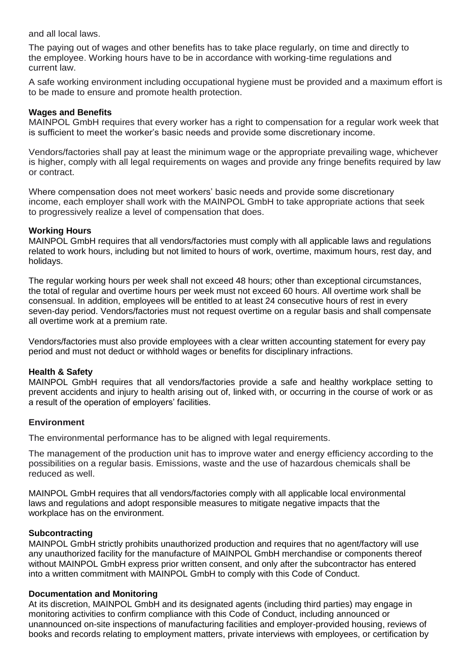and all local laws.

The paying out of wages and other benefits has to take place regularly, on time and directly to the employee. Working hours have to be in accordance with working-time regulations and current law.

A safe working environment including occupational hygiene must be provided and a maximum effort is to be made to ensure and promote health protection.

## **Wages and Benefits**

MAINPOL GmbH requires that every worker has a right to compensation for a regular work week that is sufficient to meet the worker's basic needs and provide some discretionary income.

Vendors/factories shall pay at least the minimum wage or the appropriate prevailing wage, whichever is higher, comply with all legal requirements on wages and provide any fringe benefits required by law or contract.

Where compensation does not meet workers' basic needs and provide some discretionary income, each employer shall work with the MAINPOL GmbH to take appropriate actions that seek to progressively realize a level of compensation that does.

## **Working Hours**

MAINPOL GmbH requires that all vendors/factories must comply with all applicable laws and regulations related to work hours, including but not limited to hours of work, overtime, maximum hours, rest day, and holidays.

The regular working hours per week shall not exceed 48 hours; other than exceptional circumstances, the total of regular and overtime hours per week must not exceed 60 hours. All overtime work shall be consensual. In addition, employees will be entitled to at least 24 consecutive hours of rest in every seven-day period. Vendors/factories must not request overtime on a regular basis and shall compensate all overtime work at a premium rate.

Vendors/factories must also provide employees with a clear written accounting statement for every pay period and must not deduct or withhold wages or benefits for disciplinary infractions.

# **Health & Safety**

MAINPOL GmbH requires that all vendors/factories provide a safe and healthy workplace setting to prevent accidents and injury to health arising out of, linked with, or occurring in the course of work or as a result of the operation of employers' facilities.

#### **Environment**

The environmental performance has to be aligned with legal requirements.

The management of the production unit has to improve water and energy efficiency according to the possibilities on a regular basis. Emissions, waste and the use of hazardous chemicals shall be reduced as well.

MAINPOL GmbH requires that all vendors/factories comply with all applicable local environmental laws and regulations and adopt responsible measures to mitigate negative impacts that the workplace has on the environment.

#### **Subcontracting**

MAINPOL GmbH strictly prohibits unauthorized production and requires that no agent/factory will use any unauthorized facility for the manufacture of MAINPOL GmbH merchandise or components thereof without MAINPOL GmbH express prior written consent, and only after the subcontractor has entered into a written commitment with MAINPOL GmbH to comply with this Code of Conduct.

# **Documentation and Monitoring**

At its discretion, MAINPOL GmbH and its designated agents (including third parties) may engage in monitoring activities to confirm compliance with this Code of Conduct, including announced or unannounced on-site inspections of manufacturing facilities and employer-provided housing, reviews of books and records relating to employment matters, private interviews with employees, or certification by